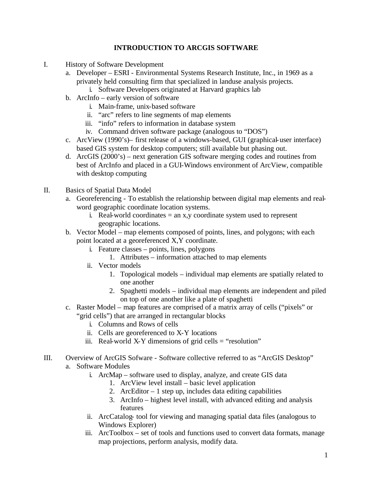# **INTRODUCTION TO ARCGIS SOFTWARE**

- I. History of Software Development
	- a. Developer ESRI Environmental Systems Research Institute, Inc., in 1969 as a privately held consulting firm that specialized in landuse analysis projects.
		- i. Software Developers originated at Harvard graphics lab
	- b. ArcInfo early version of software
		- i. Main-frame, unix-based software
		- ii. "arc" refers to line segments of map elements
		- iii. "info" refers to information in database system
		- iv. Command driven software package (analogous to "DOS")
	- c. ArcView (1990's)– first release of a windows-based, GUI (graphical-user interface) based GIS system for desktop computers; still available but phasing out.
	- d. ArcGIS (2000's) next generation GIS software merging codes and routines from best of ArcInfo and placed in a GUI-Windows environment of ArcView, compatible with desktop computing
- II. Basics of Spatial Data Model
	- a. Georeferencing To establish the relationship between digital map elements and realword geographic coordinate location systems.
		- i. Real-world coordinates  $=$  an x, y coordinate system used to represent geographic locations.
	- b. Vector Model map elements composed of points, lines, and polygons; with each point located at a georeferenced X,Y coordinate.
		- i. Feature classes points, lines, polygons
			- 1. Attributes information attached to map elements
		- ii. Vector models
			- 1. Topological models individual map elements are spatially related to one another
			- 2. Spaghetti models individual map elements are independent and piled on top of one another like a plate of spaghetti
	- c. Raster Model map features are comprised of a matrix array of cells ("pixels" or "grid cells") that are arranged in rectangular blocks
		- i. Columns and Rows of cells
		- ii. Cells are georeferenced to X-Y locations
		- iii. Real-world X-Y dimensions of grid cells  $=$  "resolution"
- III. Overview of ArcGIS Sofware Software collective referred to as "ArcGIS Desktop" a. Software Modules
	- i. ArcMap software used to display, analyze, and create GIS data
		- 1. ArcView level install basic level application
		- 2. ArcEditor  $-1$  step up, includes data editing capabilities
		- 3. ArcInfo highest level install, with advanced editing and analysis features
	- ii. ArcCatalog- tool for viewing and managing spatial data files (analogous to Windows Explorer)
	- iii. ArcToolbox set of tools and functions used to convert data formats, manage map projections, perform analysis, modify data.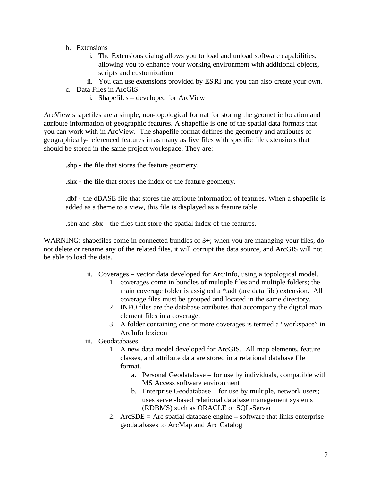- b. Extensions
	- i. The Extensions dialog allows you to load and unload software capabilities, allowing you to enhance your working environment with additional objects, scripts and customization.
	- ii. You can use extensions provided by ESRI and you can also create your own.
- c. Data Files in ArcGIS
	- i. Shapefiles developed for ArcView

ArcView shapefiles are a simple, non-topological format for storing the geometric location and attribute information of geographic features. A shapefile is one of the spatial data formats that you can work with in ArcView. The shapefile format defines the geometry and attributes of geographically-referenced features in as many as five files with specific file extensions that should be stored in the same project workspace. They are:

.shp - the file that stores the feature geometry.

.shx - the file that stores the index of the feature geometry.

.dbf - the dBASE file that stores the attribute information of features. When a shapefile is added as a theme to a view, this file is displayed as a feature table.

.sbn and .sbx - the files that store the spatial index of the features.

WARNING: shapefiles come in connected bundles of 3+; when you are managing your files, do not delete or rename any of the related files, it will corrupt the data source, and ArcGIS will not be able to load the data.

- ii. Coverages vector data developed for Arc/Info, using a topological model.
	- 1. coverages come in bundles of multiple files and multiple folders; the main coverage folder is assigned a \*.adf (arc data file) extension. All coverage files must be grouped and located in the same directory.
	- 2. INFO files are the database attributes that accompany the digital map element files in a coverage.
	- 3. A folder containing one or more coverages is termed a "workspace" in ArcInfo lexicon
- iii. Geodatabases
	- 1. A new data model developed for ArcGIS. All map elements, feature classes, and attribute data are stored in a relational database file format.
		- a. Personal Geodatabase for use by individuals, compatible with MS Access software environment
		- b. Enterprise Geodatabase for use by multiple, network users; uses server-based relational database management systems (RDBMS) such as ORACLE or SQL-Server
	- 2. ArcSDE = Arc spatial database engine  $-$  software that links enterprise geodatabases to ArcMap and Arc Catalog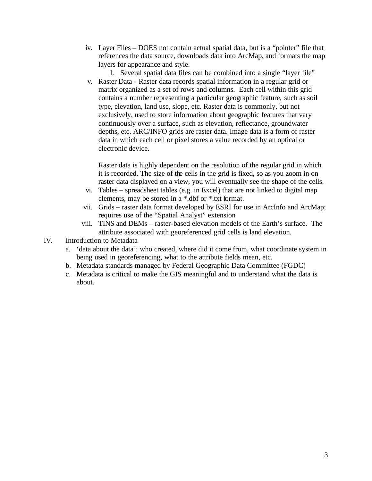- iv. Layer Files DOES not contain actual spatial data, but is a "pointer" file that references the data source, downloads data into ArcMap, and formats the map layers for appearance and style.
	- 1. Several spatial data files can be combined into a single "layer file"
- v. Raster Data Raster data records spatial information in a regular grid or matrix organized as a set of rows and columns. Each cell within this grid contains a number representing a particular geographic feature, such as soil type, elevation, land use, slope, etc. Raster data is commonly, but not exclusively, used to store information about geographic features that vary continuously over a surface, such as elevation, reflectance, groundwater depths, etc. ARC/INFO grids are raster data. Image data is a form of raster data in which each cell or pixel stores a value recorded by an optical or electronic device.

Raster data is highly dependent on the resolution of the regular grid in which it is recorded. The size of the cells in the grid is fixed, so as you zoom in on raster data displayed on a view, you will eventually see the shape of the cells.

- vi. Tables spreadsheet tables (e.g. in Excel) that are not linked to digital map elements, may be stored in a \*.dbf or \*.txt format.
- vii. Grids raster data format developed by ESRI for use in ArcInfo and ArcMap; requires use of the "Spatial Analyst" extension
- viii. TINS and DEMs raster-based elevation models of the Earth's surface. The attribute associated with georeferenced grid cells is land elevation.

# IV. Introduction to Metadata

- a. 'data about the data': who created, where did it come from, what coordinate system in being used in georeferencing, what to the attribute fields mean, etc.
- b. Metadata standards managed by Federal Geographic Data Committee (FGDC)
- c. Metadata is critical to make the GIS meaningful and to understand what the data is about.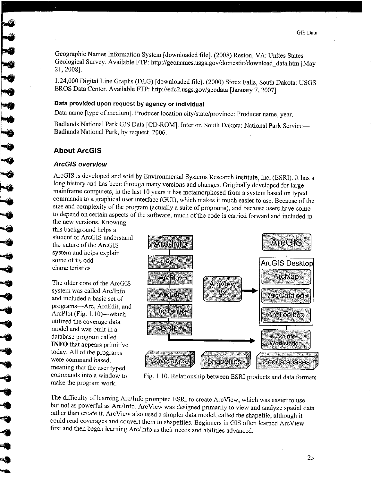Geographic Names Information System [downloaded file]. (2008) Reston, VA: Unites States Geological Survey. Available FTP: http://geonames.usgs.gov/domestic/download data.htm [May 21, 2008].

1:24,000 Digital Line Graphs (DLG) [downloaded file]. (2000) Sioux Falls, South Dakota: USGS EROS Data Center. Available FTP: http://edc2.usgs.gov/geodata [January 7, 2007].

### Data provided upon request by agency or individual

Data name [type of medium]. Producer location city/state/province: Producer name, year.

Badlands National Park GIS Data [CD-ROM]. Interior, South Dakota: National Park Service-Badlands National Park, by request, 2006.

#### **About ArcGIS**

**CONSCRETE** 

#### **ArcGIS overview**

ArcGIS is developed and sold by Environmental Systems Research Institute, Inc. (ESRI). It has a long history and has been through many versions and changes. Originally developed for large mainframe computers, in the last 10 years it has metamorphosed from a system based on typed commands to a graphical user interface (GUI), which makes it much easier to use. Because of the size and complexity of the program (actually a suite of programs), and because users have come to depend on certain aspects of the software, much of the code is carried forward and included in

the new versions. Knowing this background helps a student of ArcGIS understand the nature of the ArcGIS system and helps explain some of its odd characteristics.

The older core of the ArcGIS system was called Arc/Info and included a basic set of programs-Arc, ArcEdit, and ArcPlot (Fig. 1.10)—which utilized the coverage data model and was built in a database program called **INFO** that appears primitive today. All of the programs were command based. meaning that the user typed commands into a window to make the program work.



Fig. 1.10. Relationship between ESRI products and data formats

The difficulty of learning Arc/Info prompted ESRI to create ArcView, which was easier to use but not as powerful as Arc/Info. ArcView was designed primarily to view and analyze spatial data rather than create it. ArcView also used a simpler data model, called the shapefile, although it could read coverages and convert them to shapefiles. Beginners in GIS often learned ArcView first and then began learning Arc/Info as their needs and abilities advanced.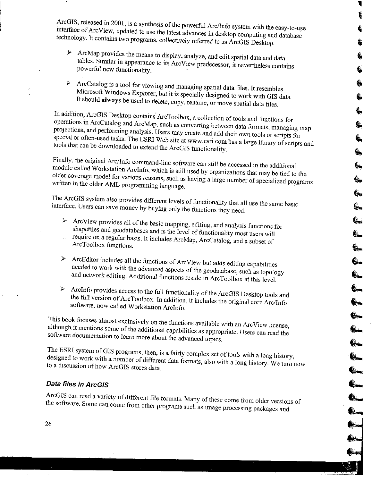ArcGIS, released in 2001, is a synthesis of the powerful Arc/Info system with the easy-to-use interface of ArcView, updated to use the latest advances in desktop computing and database technology. It contains two programs, collectively referred to as ArcGIS Desktop.

- > ArcMap provides the means to display, analyze, and edit spatial data and data tables. Similar in appearance to its ArcView predecessor, it nevertheless contains powerful new functionality.
- > ArcCatalog is a tool for viewing and managing spatial data files. It resembles Microsoft Windows Explorer, but it is specially designed to work with GIS data. It should always be used to delete, copy, rename, or move spatial data files.

In addition, ArcGIS Desktop contains ArcToolbox, a collection of tools and functions for operations in ArcCatalog and ArcMap, such as converting between data formats, managing map projections, and performing analysis. Users may create and add their own tools or scripts for special or often-used tasks. The ESRI Web site at www.esri.com has a large library of scripts and tools that can be downloaded to extend the ArcGIS functionality.

Finally, the original Arc/Info command-line software can still be accessed in the additional module called Workstation ArcInfo, which is still used by organizations that may be tied to the older coverage model for various reasons, such as having a large number of specialized programs written in the older AML programming language.

The ArcGIS system also provides different levels of functionality that all use the same basic interface. Users can save money by buying only the functions they need.

- > ArcView provides all of the basic mapping, editing, and analysis functions for shapefiles and geodatabases and is the level of functionality most users will require on a regular basis. It includes ArcMap, ArcCatalog, and a subset of ArcToolbox functions.
- ArcEditor includes all the functions of ArcView but adds editing capabilities  $\blacktriangleright$ needed to work with the advanced aspects of the geodatabase, such as topology and network editing. Additional functions reside in ArcToolbox at this level.
- ArcInfo provides access to the full functionality of the ArcGIS Desktop tools and the full version of ArcToolbox. In addition, it includes the original core Arc/Info software, now called Workstation ArcInfo.

This book focuses almost exclusively on the functions available with an ArcView license, although it mentions some of the additional capabilities as appropriate. Users can read the software documentation to learn more about the advanced topics.

The ESRI system of GIS programs, then, is a fairly complex set of tools with a long history, designed to work with a number of different data formats, also with a long history. We turn now to a discussion of how ArcGIS stores data.

# Data files in ArcGIS

ArcGIS can read a variety of different file formats. Many of these come from older versions of the software. Some can come from other programs such as image processing packages and

FOR PRE